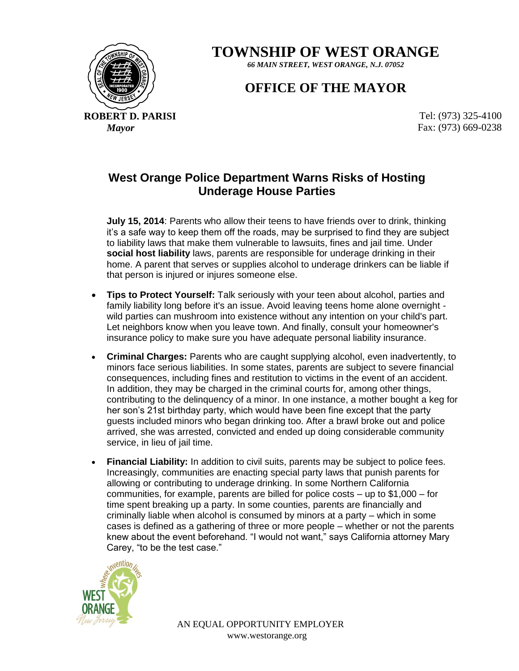**TOWNSHIP OF WEST ORANGE**

*66 MAIN STREET, WEST ORANGE, N.J. 07052*

## **OFFICE OF THE MAYOR**

**ROBERT D. PARISI EXECUTE: (973) 325-4100** 

*Mayor* Fax: (973) 669-0238

## **West Orange Police Department Warns Risks of Hosting Underage House Parties**

**July 15, 2014**: Parents who allow their teens to have friends over to drink, thinking it's a safe way to keep them off the roads, may be surprised to find they are subject to liability laws that make them vulnerable to lawsuits, fines and jail time. Under **social host liability** laws, parents are responsible for underage drinking in their home. A parent that serves or supplies alcohol to underage drinkers can be liable if that person is injured or injures someone else.

- **Tips to Protect Yourself:** Talk seriously with your teen about alcohol, parties and family liability long before it's an issue. Avoid leaving teens home alone overnight wild parties can mushroom into existence without any intention on your child's part. Let neighbors know when you leave town. And finally, consult your homeowner's insurance policy to make sure you have adequate personal liability insurance.
- **Criminal Charges:** Parents who are caught supplying alcohol, even inadvertently, to minors face serious liabilities. In some states, parents are subject to severe financial consequences, including fines and restitution to victims in the event of an accident. In addition, they may be charged in the criminal courts for, among other things, contributing to the delinquency of a minor. In one instance, a mother bought a keg for her son's 21st birthday party, which would have been fine except that the party guests included minors who began drinking too. After a brawl broke out and police arrived, she was arrested, convicted and ended up doing considerable community service, in lieu of jail time.
- **Financial Liability:** In addition to civil suits, parents may be subject to police fees. Increasingly, communities are enacting special party laws that punish parents for allowing or contributing to underage drinking. In some Northern California communities, for example, parents are billed for police costs – up to \$1,000 – for time spent breaking up a party. In some counties, parents are financially and criminally liable when alcohol is consumed by minors at a party – which in some cases is defined as a gathering of three or more people – whether or not the parents knew about the event beforehand. "I would not want," says California attorney Mary Carey, "to be the test case."